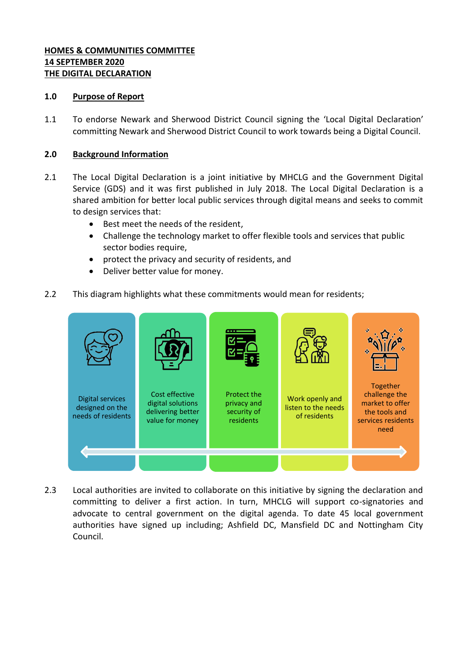## **HOMES & COMMUNITIES COMMITTEE 14 SEPTEMBER 2020 THE DIGITAL DECLARATION**

### **1.0 Purpose of Report**

1.1 To endorse Newark and Sherwood District Council signing the 'Local Digital Declaration' committing Newark and Sherwood District Council to work towards being a Digital Council.

### **2.0 Background Information**

- 2.1 The Local Digital Declaration is a joint initiative by MHCLG and the Government Digital Service (GDS) and it was first published in July 2018. The Local Digital Declaration is a shared ambition for better local public services through digital means and seeks to commit to design services that:
	- Best meet the needs of the resident,
	- Challenge the technology market to offer flexible tools and services that public sector bodies require,
	- protect the privacy and security of residents, and
	- Deliver better value for money.
- 2.2 This diagram highlights what these commitments would mean for residents;



2.3 Local authorities are invited to collaborate on this initiative by signing the declaration and committing to deliver a first action. In turn, MHCLG will support co-signatories and advocate to central government on the digital agenda. To date 45 local government authorities have signed up including; Ashfield DC, Mansfield DC and Nottingham City Council.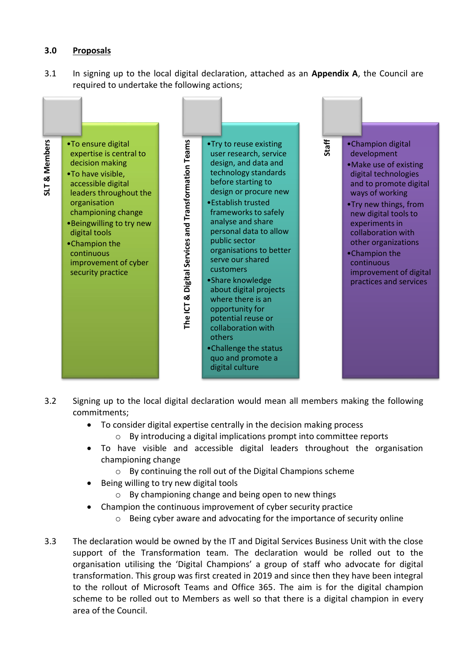## **3.0 Proposals**

3.1 In signing up to the local digital declaration, attached as an **Appendix A**, the Council are required to undertake the following actions;



- 3.2 Signing up to the local digital declaration would mean all members making the following commitments;
	- To consider digital expertise centrally in the decision making process
		- o By introducing a digital implications prompt into committee reports
	- To have visible and accessible digital leaders throughout the organisation championing change
		- o By continuing the roll out of the Digital Champions scheme
	- Being willing to try new digital tools
		- o By championing change and being open to new things
	- Champion the continuous improvement of cyber security practice
		- o Being cyber aware and advocating for the importance of security online
- 3.3 The declaration would be owned by the IT and Digital Services Business Unit with the close support of the Transformation team. The declaration would be rolled out to the organisation utilising the 'Digital Champions' a group of staff who advocate for digital transformation. This group was first created in 2019 and since then they have been integral to the rollout of Microsoft Teams and Office 365. The aim is for the digital champion scheme to be rolled out to Members as well so that there is a digital champion in every area of the Council.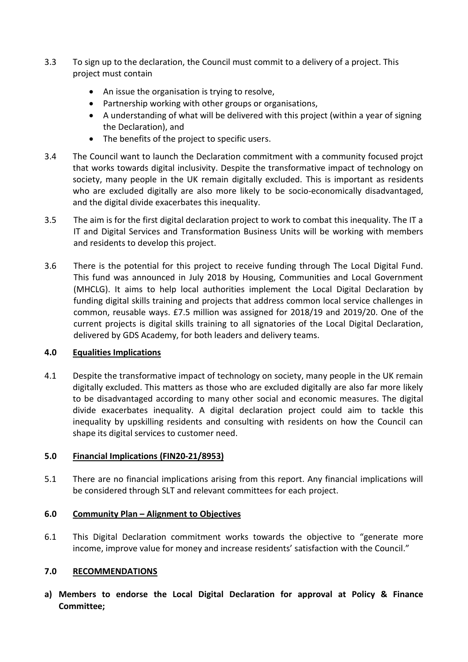- 3.3 To sign up to the declaration, the Council must commit to a delivery of a project. This project must contain
	- An issue the organisation is trying to resolve,
	- Partnership working with other groups or organisations,
	- A understanding of what will be delivered with this project (within a year of signing the Declaration), and
	- The benefits of the project to specific users.
- 3.4 The Council want to launch the Declaration commitment with a community focused projct that works towards digital inclusivity. Despite the transformative impact of technology on society, many people in the UK remain digitally excluded. This is important as residents who are excluded digitally are also more likely to be socio-economically disadvantaged, and the digital divide exacerbates this inequality.
- 3.5 The aim is for the first digital declaration project to work to combat this inequality. The IT a IT and Digital Services and Transformation Business Units will be working with members and residents to develop this project.
- 3.6 There is the potential for this project to receive funding through The Local Digital Fund. This fund was announced in July 2018 by Housing, Communities and Local Government (MHCLG). It aims to help local authorities implement the Local Digital Declaration by funding digital skills training and projects that address common local service challenges in common, reusable ways. £7.5 million was assigned for 2018/19 and 2019/20. One of the current projects is [digital skills training](https://localdigital.gov.uk/training-offer-for-local-digital-fund/) to all signatories of the Local Digital Declaration, delivered by GDS Academy, for both leaders and delivery teams.

# **4.0 Equalities Implications**

4.1 Despite the transformative impact of technology on society, many people in the UK remain digitally excluded. This matters as those who are excluded digitally are also far more likely to be disadvantaged according to many other social and economic measures. The digital divide exacerbates inequality. A digital declaration project could aim to tackle this inequality by upskilling residents and consulting with residents on how the Council can shape its digital services to customer need.

## **5.0 Financial Implications (FIN20-21/8953)**

5.1 There are no financial implications arising from this report. Any financial implications will be considered through SLT and relevant committees for each project.

# **6.0 Community Plan – Alignment to Objectives**

6.1 This Digital Declaration commitment works towards the objective to "generate more income, improve value for money and increase residents' satisfaction with the Council."

# **7.0 RECOMMENDATIONS**

**a) Members to endorse the Local Digital Declaration for approval at Policy & Finance Committee;**